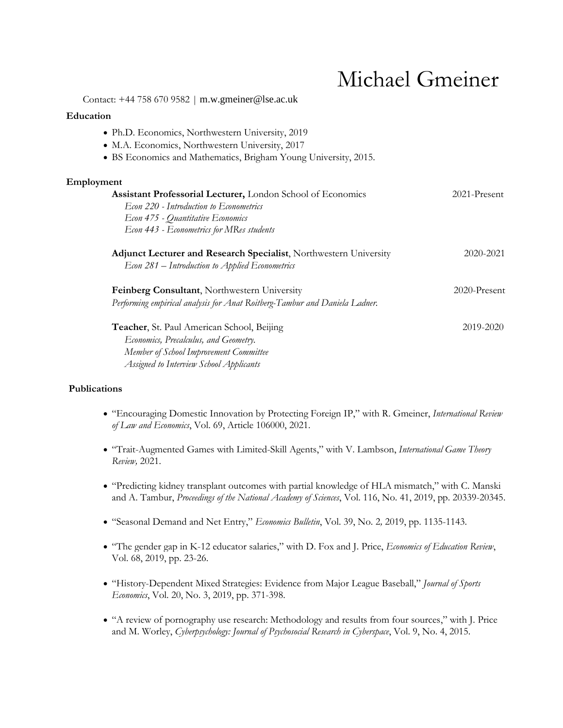# Michael Gmeiner

Contact: +44 758 670 9582 | m.w.gmeiner@lse.ac.uk

## **Education**

- Ph.D. Economics, Northwestern University, 2019
- M.A. Economics, Northwestern University, 2017
- BS Economics and Mathematics, Brigham Young University, 2015.

## **Employment**

| Assistant Professorial Lecturer, London School of Economics<br>Econ 220 - Introduction to Econometrics                     | $2021$ -Present |
|----------------------------------------------------------------------------------------------------------------------------|-----------------|
| Econ 475 - Quantitative Economics<br>Econ 443 - Econometrics for MRes students                                             |                 |
| Adjunct Lecturer and Research Specialist, Northwestern University<br>Econ 281 – Introduction to Applied Econometrics       | 2020-2021       |
| Feinberg Consultant, Northwestern University<br>Performing empirical analysis for Anat Roitberg-Tambur and Daniela Ladner. | $2020$ -Present |
| Teacher, St. Paul American School, Beijing<br>Economics, Precalculus, and Geometry.                                        | 2019-2020       |

 *Economics, Precalculus, and Geometry. Member of School Improvement Committee Assigned to Interview School Applicants*

## **Publications**

- "Encouraging Domestic Innovation by Protecting Foreign IP," with R. Gmeiner, *International Review of Law and Economics*, Vol. 69, Article 106000, 2021.
- "Trait-Augmented Games with Limited-Skill Agents," with V. Lambson, *International Game Theory Review,* 2021*.*
- "Predicting kidney transplant outcomes with partial knowledge of HLA mismatch," with C. Manski and A. Tambur, *Proceedings of the National Academy of Sciences*, Vol. 116, No. 41, 2019, pp. 20339-20345.
- "Seasonal Demand and Net Entry," *Economics Bulletin*, Vol. 39, No. 2*,* 2019, pp. 1135-1143.
- "The gender gap in K-12 educator salaries," with D. Fox and J. Price, *Economics of Education Review*, Vol. 68, 2019, pp. 23-26.
- "History-Dependent Mixed Strategies: Evidence from Major League Baseball," *Journal of Sports Economics*, Vol. 20, No. 3, 2019, pp. 371-398.
- "A review of pornography use research: Methodology and results from four sources," with J. Price and M. Worley, *Cyberpsychology: Journal of Psychosocial Research in Cyberspace*, Vol. 9, No. 4, 2015.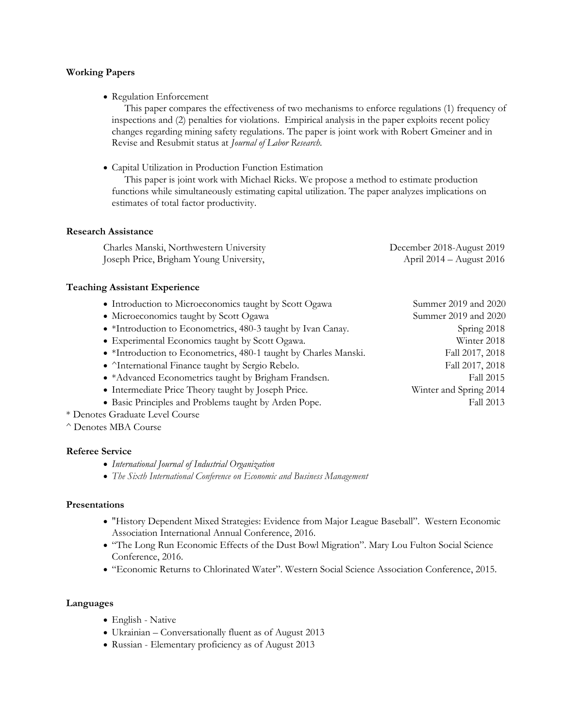## **Working Papers**

• Regulation Enforcement

 This paper compares the effectiveness of two mechanisms to enforce regulations (1) frequency of inspections and (2) penalties for violations. Empirical analysis in the paper exploits recent policy changes regarding mining safety regulations. The paper is joint work with Robert Gmeiner and in Revise and Resubmit status at *Journal of Labor Research.*

• Capital Utilization in Production Function Estimation

 This paper is joint work with Michael Ricks. We propose a method to estimate production functions while simultaneously estimating capital utilization. The paper analyzes implications on estimates of total factor productivity.

#### **Research Assistance**

| Charles Manski, Northwestern University | December 2018-August 2019 |
|-----------------------------------------|---------------------------|
| Joseph Price, Brigham Young University, | April 2014 – August 2016  |

#### **Teaching Assistant Experience**

- Introduction to Microeconomics taught by Scott Ogawa Summer 2019 and 2020
- Microeconomics taught by Scott Ogawa Summer 2019 and 2020
- \*Introduction to Econometrics, 480-3 taught by Ivan Canay. Spring 2018
- Experimental Economics taught by Scott Ogawa. Winter 2018
- \*Introduction to Econometrics, 480-1 taught by Charles Manski. Fall 2017, 2018
- ^International Finance taught by Sergio Rebelo. Fall 2017, 2018
- \*Advanced Econometrics taught by Brigham Frandsen. Fall 2015
- Intermediate Price Theory taught by Joseph Price. Winter and Spring 2014
- Basic Principles and Problems taught by Arden Pope. Fall 2013
- \* Denotes Graduate Level Course
- ^ Denotes MBA Course

#### **Referee Service**

- *International Journal of Industrial Organization*
- *The Sixth International Conference on Economic and Business Management*

## **Presentations**

- "History Dependent Mixed Strategies: Evidence from Major League Baseball". Western Economic Association International Annual Conference, 2016.
- "The Long Run Economic Effects of the Dust Bowl Migration". Mary Lou Fulton Social Science Conference, 2016.
- "Economic Returns to Chlorinated Water". Western Social Science Association Conference, 2015.

#### **Languages**

- English Native
- Ukrainian Conversationally fluent as of August 2013
- Russian Elementary proficiency as of August 2013